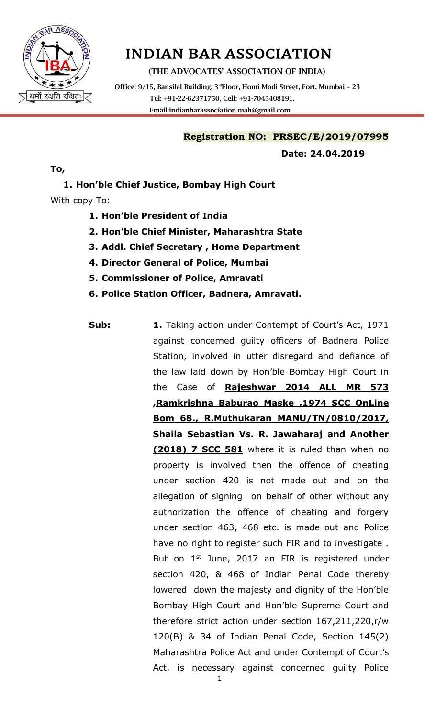

# INDIAN BAR ASSOCIATION

(**THE ADVOCATES' ASSOCIATION OF INDIA)**

**Office**: **9/15, Bansilal Building, 3rdFloor, Homi Modi Street, Fort, Mumbai – 23 Tel: +91-22-62371750, Cell: +91-7045408191, Emai[l:indianbarassociation.mah@gmail.com](mailto:indianbarassociation.mah@gmail.com)**

### **Registration NO: PRSEC/E/2019/07995**

**Date: 24.04.2019**

### **To,**

**1. Hon'ble Chief Justice, Bombay High Court**

With copy To:

- **1. Hon'ble President of India**
- **2. Hon'ble Chief Minister, Maharashtra State**
- **3. Addl. Chief Secretary , Home Department**
- **4. Director General of Police, Mumbai**
- **5. Commissioner of Police, Amravati**
- **6. Police Station Officer, Badnera, Amravati.**

**Sub: 1.** Taking action under Contempt of Court's Act, 1971 against concerned guilty officers of Badnera Police Station, involved in utter disregard and defiance of the law laid down by Hon'ble Bombay High Court in the Case of **Rajeshwar 2014 ALL MR 573 ,Ramkrishna Baburao Maske ,1974 SCC OnLine Bom 68., R.Muthukaran MANU/TN/0810/2017, Shaila Sebastian Vs. R. Jawaharaj and Another (2018) 7 SCC 581** where it is ruled than when no property is involved then the offence of cheating under section 420 is not made out and on the allegation of signing on behalf of other without any authorization the offence of cheating and forgery under section 463, 468 etc. is made out and Police have no right to register such FIR and to investigate . But on 1<sup>st</sup> June, 2017 an FIR is registered under section 420, & 468 of Indian Penal Code thereby lowered down the majesty and dignity of the Hon'ble Bombay High Court and Hon'ble Supreme Court and therefore strict action under section 167,211,220,r/w 120(B) & 34 of Indian Penal Code, Section 145(2) Maharashtra Police Act and under Contempt of Court's Act, is necessary against concerned guilty Police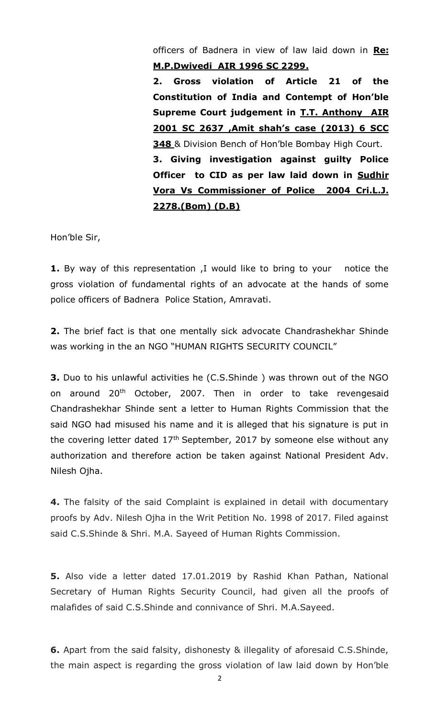officers of Badnera in view of law laid down in **Re: M.P.Dwivedi AIR 1996 SC 2299.**

**2. Gross violation of Article 21 of the Constitution of India and Contempt of Hon'ble Supreme Court judgement in T.T. Anthony AIR 2001 SC 2637 ,Amit shah's case (2013) 6 SCC 348** & Division Bench of Hon'ble Bombay High Court. **3. Giving investigation against guilty Police Officer to CID as per law laid down in Sudhir Vora Vs Commissioner of Police 2004 Cri.L.J. 2278.(Bom) (D.B)**

Hon'ble Sir,

**1.** By way of this representation ,I would like to bring to your notice the gross violation of fundamental rights of an advocate at the hands of some police officers of Badnera Police Station, Amravati.

**2.** The brief fact is that one mentally sick advocate Chandrashekhar Shinde was working in the an NGO "HUMAN RIGHTS SECURITY COUNCIL"

**3.** Duo to his unlawful activities he (C.S.Shinde ) was thrown out of the NGO on around 20<sup>th</sup> October, 2007. Then in order to take revengesaid Chandrashekhar Shinde sent a letter to Human Rights Commission that the said NGO had misused his name and it is alleged that his signature is put in the covering letter dated  $17<sup>th</sup>$  September, 2017 by someone else without any authorization and therefore action be taken against National President Adv. Nilesh Ojha.

**4.** The falsity of the said Complaint is explained in detail with documentary proofs by Adv. Nilesh Ojha in the Writ Petition No. 1998 of 2017. Filed against said C.S.Shinde & Shri. M.A. Sayeed of Human Rights Commission.

**5.** Also vide a letter dated 17.01.2019 by Rashid Khan Pathan, National Secretary of Human Rights Security Council, had given all the proofs of malafides of said C.S.Shinde and connivance of Shri. M.A.Sayeed.

**6.** Apart from the said falsity, dishonesty & illegality of aforesaid C.S.Shinde, the main aspect is regarding the gross violation of law laid down by Hon'ble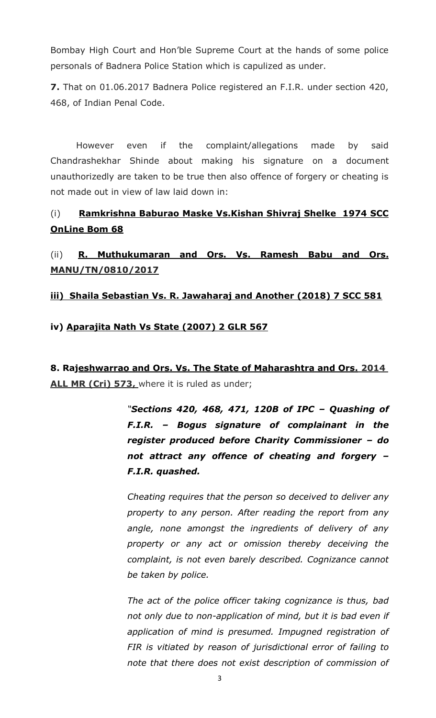Bombay High Court and Hon'ble Supreme Court at the hands of some police personals of Badnera Police Station which is capulized as under.

**7.** That on 01.06.2017 Badnera Police registered an F.I.R. under section 420, 468, of Indian Penal Code.

However even if the complaint/allegations made by said Chandrashekhar Shinde about making his signature on a document unauthorizedly are taken to be true then also offence of forgery or cheating is not made out in view of law laid down in:

## (i) **Ramkrishna Baburao Maske Vs.Kishan Shivraj Shelke 1974 SCC OnLine Bom 68**

# (ii) **R. Muthukumaran and Ors. Vs. Ramesh Babu and Ors. MANU/TN/0810/2017**

**iii) Shaila Sebastian Vs. R. Jawaharaj and Another (2018) 7 SCC 581**

### **iv) Aparajita Nath Vs State (2007) 2 GLR 567**

**8. Rajeshwarrao and Ors. Vs. The State of Maharashtra and Ors. 2014 ALL MR (Cri) 573, where it is ruled as under;** 

> *"Sections 420, 468, 471, 120B of IPC – Quashing of F.I.R. – Bogus signature of complainant in the register produced before Charity Commissioner – do not attract any offence of cheating and forgery – F.I.R. quashed.*

> *Cheating requires that the person so deceived to deliver any property to any person. After reading the report from any angle, none amongst the ingredients of delivery of any property or any act or omission thereby deceiving the complaint, is not even barely described. Cognizance cannot be taken by police.*

> *The act of the police officer taking cognizance is thus, bad not only due to non-application of mind, but it is bad even if application of mind is presumed. Impugned registration of FIR is vitiated by reason of jurisdictional error of failing to note that there does not exist description of commission of*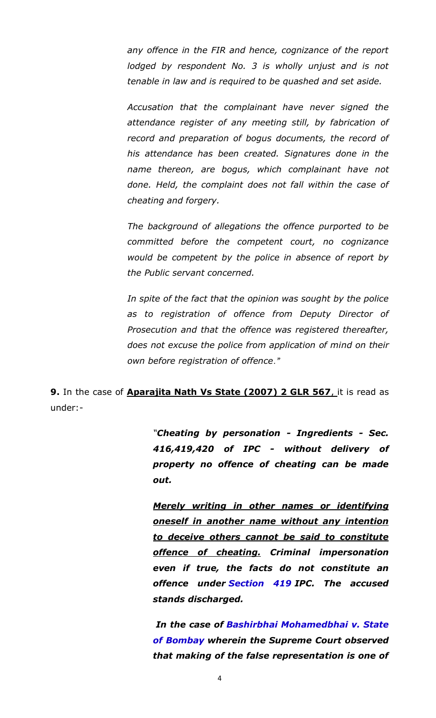*any offence in the FIR and hence, cognizance of the report lodged by respondent No. 3 is wholly unjust and is not tenable in law and is required to be quashed and set aside.*

*Accusation that the complainant have never signed the attendance register of any meeting still, by fabrication of record and preparation of bogus documents, the record of his attendance has been created. Signatures done in the name thereon, are bogus, which complainant have not done. Held, the complaint does not fall within the case of cheating and forgery.*

*The background of allegations the offence purported to be committed before the competent court, no cognizance would be competent by the police in absence of report by the Public servant concerned.*

*In spite of the fact that the opinion was sought by the police as to registration of offence from Deputy Director of Prosecution and that the offence was registered thereafter, does not excuse the police from application of mind on their own before registration of offence."*

**9.** In the case of **Aparajita Nath Vs State (2007) 2 GLR 567**, it is read as under:-

> *"Cheating by personation - Ingredients - Sec. 416,419,420 of IPC - without delivery of property no offence of cheating can be made out.*

> *Merely writing in other names or identifying oneself in another name without any intention to deceive others cannot be said to constitute offence of cheating. Criminal impersonation even if true, the facts do not constitute an offence under [Section 419](https://indiankanoon.org/doc/1667388/) IPC. The accused stands discharged.*

> *In the case of [Bashirbhai Mohamedbhai v. State](https://indiankanoon.org/doc/902081/)  [of Bombay](https://indiankanoon.org/doc/902081/) wherein the Supreme Court observed that making of the false representation is one of*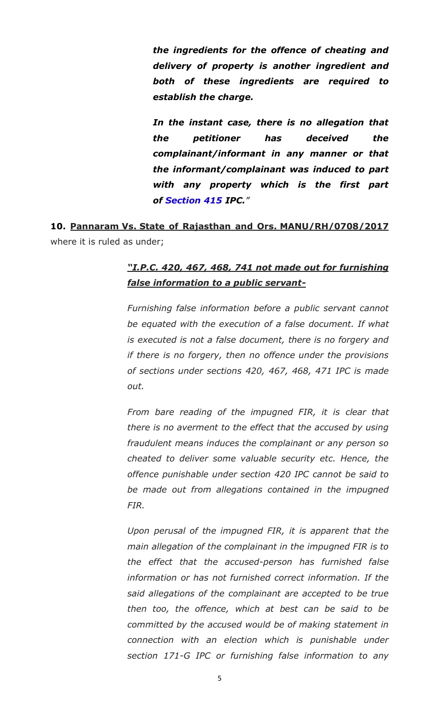*the ingredients for the offence of cheating and delivery of property is another ingredient and both of these ingredients are required to establish the charge.*

*In the instant case, there is no allegation that the petitioner has deceived the complainant/informant in any manner or that the informant/complainant was induced to part with any property which is the first part of [Section 415](https://indiankanoon.org/doc/1306824/) IPC."*

**10. Pannaram Vs. State of Rajasthan and Ors. MANU/RH/0708/2017** where it is ruled as under;

### *"I.P.C. 420, 467, 468, 741 not made out for furnishing false information to a public servant-*

*Furnishing false information before a public servant cannot be equated with the execution of a false document. If what is executed is not a false document, there is no forgery and if there is no forgery, then no offence under the provisions of sections under sections 420, 467, 468, 471 IPC is made out.*

*From bare reading of the impugned FIR, it is clear that there is no averment to the effect that the accused by using fraudulent means induces the complainant or any person so cheated to deliver some valuable security etc. Hence, the offence punishable under section 420 IPC cannot be said to be made out from allegations contained in the impugned FIR.*

*Upon perusal of the impugned FIR, it is apparent that the main allegation of the complainant in the impugned FIR is to the effect that the accused-person has furnished false information or has not furnished correct information. If the said allegations of the complainant are accepted to be true then too, the offence, which at best can be said to be committed by the accused would be of making statement in connection with an election which is punishable under section 171-G IPC or furnishing false information to any*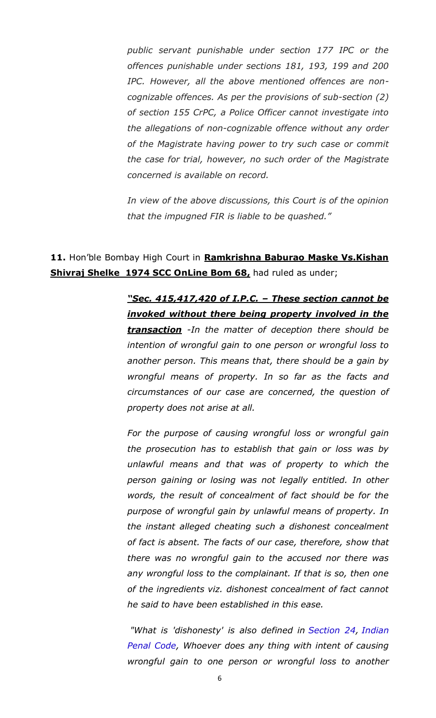*public servant punishable under section 177 IPC or the offences punishable under sections 181, 193, 199 and 200 IPC. However, all the above mentioned offences are noncognizable offences. As per the provisions of sub-section (2) of section 155 CrPC, a Police Officer cannot investigate into the allegations of non-cognizable offence without any order of the Magistrate having power to try such case or commit the case for trial, however, no such order of the Magistrate concerned is available on record.*

*In view of the above discussions, this Court is of the opinion that the impugned FIR is liable to be quashed."*

**11.** Hon'ble Bombay High Court in **Ramkrishna Baburao Maske Vs.Kishan Shivraj Shelke 1974 SCC OnLine Bom 68, had ruled as under;** 

> *"Sec. 415,417,420 of I.P.C. – These section cannot be invoked without there being property involved in the transaction -In the matter of deception there should be intention of wrongful gain to one person or wrongful loss to*

> *another person. This means that, there should be a gain by wrongful means of property. In so far as the facts and circumstances of our case are concerned, the question of property does not arise at all.*

> *For the purpose of causing wrongful loss or wrongful gain the prosecution has to establish that gain or loss was by unlawful means and that was of property to which the person gaining or losing was not legally entitled. In other words, the result of concealment of fact should be for the purpose of wrongful gain by unlawful means of property. In the instant alleged cheating such a dishonest concealment of fact is absent. The facts of our case, therefore, show that there was no wrongful gain to the accused nor there was any wrongful loss to the complainant. If that is so, then one of the ingredients viz. dishonest concealment of fact cannot he said to have been established in this ease.*

> *"What is 'dishonesty' is also defined in [Section 24,](https://indiankanoon.org/doc/898393/) [Indian](https://indiankanoon.org/doc/1569253/)  [Penal Code,](https://indiankanoon.org/doc/1569253/) Whoever does any thing with intent of causing wrongful gain to one person or wrongful loss to another*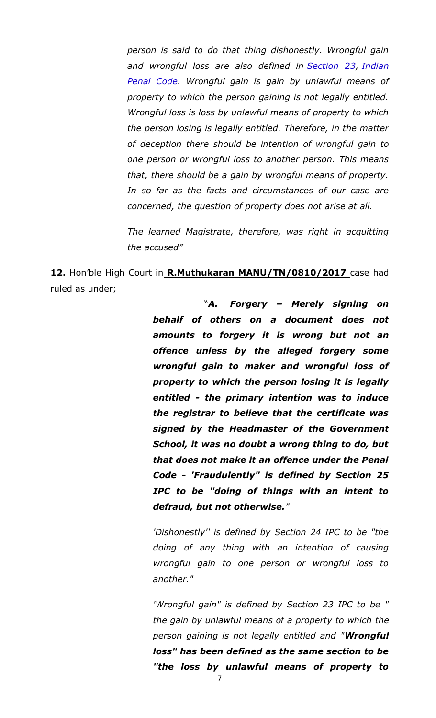*person is said to do that thing dishonestly. Wrongful gain and wrongful loss are also defined in [Section 23,](https://indiankanoon.org/doc/519920/) [Indian](https://indiankanoon.org/doc/1569253/)  [Penal Code.](https://indiankanoon.org/doc/1569253/) Wrongful gain is gain by unlawful means of property to which the person gaining is not legally entitled. Wrongful loss is loss by unlawful means of property to which the person losing is legally entitled. Therefore, in the matter of deception there should be intention of wrongful gain to one person or wrongful loss to another person. This means that, there should be a gain by wrongful means of property. In so far as the facts and circumstances of our case are concerned, the question of property does not arise at all.*

*The learned Magistrate, therefore, was right in acquitting the accused"*

**12.** Hon'ble High Court in **R.Muthukaran MANU/TN/0810/2017** case had ruled as under;

> "*A. Forgery – Merely signing on behalf of others on a document does not amounts to forgery it is wrong but not an offence unless by the alleged forgery some wrongful gain to maker and wrongful loss of property to which the person losing it is legally entitled - the primary intention was to induce the registrar to believe that the certificate was signed by the Headmaster of the Government School, it was no doubt a wrong thing to do, but that does not make it an offence under the Penal Code - 'Fraudulently" is defined by Section 25 IPC to be "doing of things with an intent to defraud, but not otherwise."*

> *'Dishonestly'' is defined by Section 24 IPC to be "the doing of any thing with an intention of causing wrongful gain to one person or wrongful loss to another."*

> *'Wrongful gain" is defined by Section 23 IPC to be " the gain by unlawful means of a property to which the person gaining is not legally entitled and "Wrongful loss" has been defined as the same section to be "the loss by unlawful means of property to*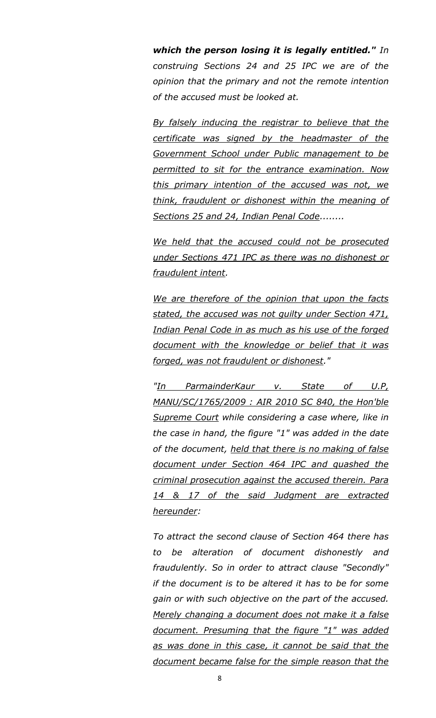*which the person losing it is legally entitled." In construing Sections 24 and 25 IPC we are of the opinion that the primary and not the remote intention of the accused must be looked at.* 

*By falsely inducing the registrar to believe that the certificate was signed by the headmaster of the Government School under Public management to be permitted to sit for the entrance examination. Now this primary intention of the accused was not, we think, fraudulent or dishonest within the meaning of Sections 25 and 24, Indian Penal Code........*

*We held that the accused could not be prosecuted under Sections 471 IPC as there was no dishonest or fraudulent intent.*

*We are therefore of the opinion that upon the facts stated, the accused was not guilty under Section 471, Indian Penal Code in as much as his use of the forged document with the knowledge or belief that it was forged, was not fraudulent or dishonest."*

*"In ParmainderKaur v. State of U.P, MANU/SC/1765/2009 : AIR 2010 SC 840, the Hon'ble Supreme Court while considering a case where, like in the case in hand, the figure "1" was added in the date of the document, held that there is no making of false document under Section 464 IPC and quashed the criminal prosecution against the accused therein. Para 14 & 17 of the said Judgment are extracted hereunder:*

*To attract the second clause of Section 464 there has to be alteration of document dishonestly and fraudulently. So in order to attract clause "Secondly" if the document is to be altered it has to be for some gain or with such objective on the part of the accused. Merely changing a document does not make it a false document. Presuming that the figure "1" was added as was done in this case, it cannot be said that the document became false for the simple reason that the*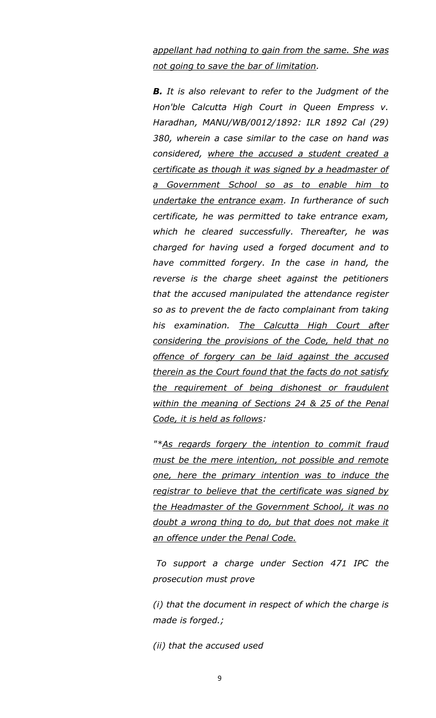*appellant had nothing to gain from the same. She was not going to save the bar of limitation.*

*B. It is also relevant to refer to the Judgment of the Hon'ble Calcutta High Court in Queen Empress v. Haradhan, MANU/WB/0012/1892: ILR 1892 Cal (29) 380, wherein a case similar to the case on hand was considered, where the accused a student created a certificate as though it was signed by a headmaster of a Government School so as to enable him to undertake the entrance exam. In furtherance of such certificate, he was permitted to take entrance exam, which he cleared successfully. Thereafter, he was charged for having used a forged document and to have committed forgery. In the case in hand, the reverse is the charge sheet against the petitioners that the accused manipulated the attendance register so as to prevent the de facto complainant from taking his examination. The Calcutta High Court after considering the provisions of the Code, held that no offence of forgery can be laid against the accused therein as the Court found that the facts do not satisfy the requirement of being dishonest or fraudulent within the meaning of Sections 24 & 25 of the Penal Code, it is held as follows:*

*"\*As regards forgery the intention to commit fraud must be the mere intention, not possible and remote one, here the primary intention was to induce the registrar to believe that the certificate was signed by the Headmaster of the Government School, it was no doubt a wrong thing to do, but that does not make it an offence under the Penal Code.*

*To support a charge under Section 471 IPC the prosecution must prove*

*(i) that the document in respect of which the charge is made is forged.;*

*(ii) that the accused used*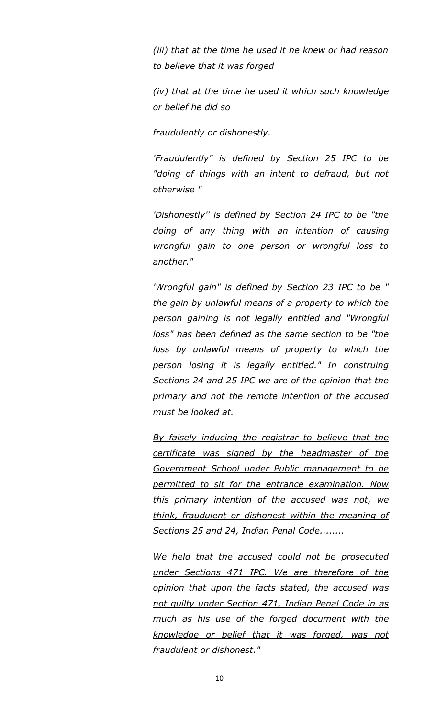*(iii) that at the time he used it he knew or had reason to believe that it was forged*

*(iv) that at the time he used it which such knowledge or belief he did so*

*fraudulently or dishonestly.*

*'Fraudulently" is defined by Section 25 IPC to be "doing of things with an intent to defraud, but not otherwise "*

*'Dishonestly'' is defined by Section 24 IPC to be "the doing of any thing with an intention of causing wrongful gain to one person or wrongful loss to another."*

*'Wrongful gain" is defined by Section 23 IPC to be " the gain by unlawful means of a property to which the person gaining is not legally entitled and "Wrongful loss" has been defined as the same section to be "the*  loss by unlawful means of property to which the *person losing it is legally entitled." In construing Sections 24 and 25 IPC we are of the opinion that the primary and not the remote intention of the accused must be looked at.*

*By falsely inducing the registrar to believe that the certificate was signed by the headmaster of the Government School under Public management to be permitted to sit for the entrance examination. Now this primary intention of the accused was not, we think, fraudulent or dishonest within the meaning of Sections 25 and 24, Indian Penal Code........*

*We held that the accused could not be prosecuted under Sections 471 IPC. We are therefore of the opinion that upon the facts stated, the accused was not guilty under Section 471, Indian Penal Code in as much as his use of the forged document with the knowledge or belief that it was forged, was not fraudulent or dishonest."*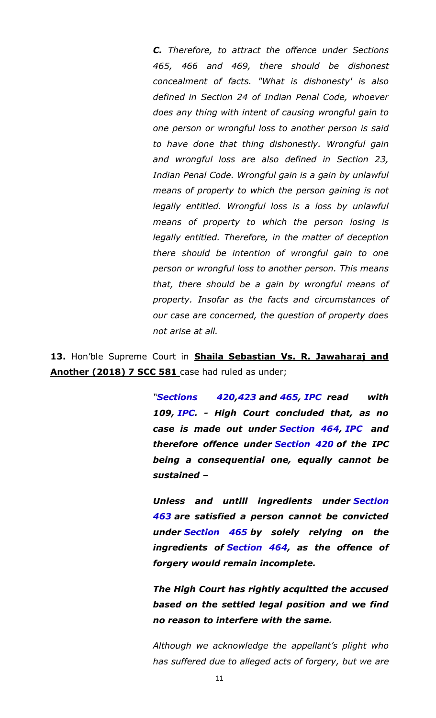*C. Therefore, to attract the offence under Sections 465, 466 and 469, there should be dishonest concealment of facts. "What is dishonesty' is also defined in Section 24 of Indian Penal Code, whoever does any thing with intent of causing wrongful gain to one person or wrongful loss to another person is said to have done that thing dishonestly. Wrongful gain and wrongful loss are also defined in Section 23, Indian Penal Code. Wrongful gain is a gain by unlawful means of property to which the person gaining is not legally entitled. Wrongful loss is a loss by unlawful means of property to which the person losing is legally entitled. Therefore, in the matter of deception there should be intention of wrongful gain to one person or wrongful loss to another person. This means that, there should be a gain by wrongful means of property. Insofar as the facts and circumstances of our case are concerned, the question of property does not arise at all.*

**13.** Hon'ble Supreme Court in **Shaila Sebastian Vs. R. Jawaharaj and Another (2018) 7 SCC 581** case had ruled as under;

> *"[Sections 420](https://indiankanoon.org/doc/1436241/)[,423](https://indiankanoon.org/doc/1442106/) and [465,](https://indiankanoon.org/doc/1317063/) [IPC](https://indiankanoon.org/doc/1569253/) read with 109, [IPC.](https://indiankanoon.org/doc/1569253/) - High Court concluded that, as no case is made out under [Section 464,](https://indiankanoon.org/doc/1745798/) [IPC](https://indiankanoon.org/doc/1569253/) and therefore offence under [Section 420](https://indiankanoon.org/doc/1436241/) of the IPC being a consequential one, equally cannot be sustained –*

> *Unless and untill ingredients under [Section](https://indiankanoon.org/doc/1965344/)  [463](https://indiankanoon.org/doc/1965344/) are satisfied a person cannot be convicted under [Section 465](https://indiankanoon.org/doc/1965344/) by solely relying on the ingredients of [Section 464,](https://indiankanoon.org/doc/1965344/) as the offence of forgery would remain incomplete.*

> *The High Court has rightly acquitted the accused based on the settled legal position and we find no reason to interfere with the same.*

> *Although we acknowledge the appellant's plight who has suffered due to alleged acts of forgery, but we are*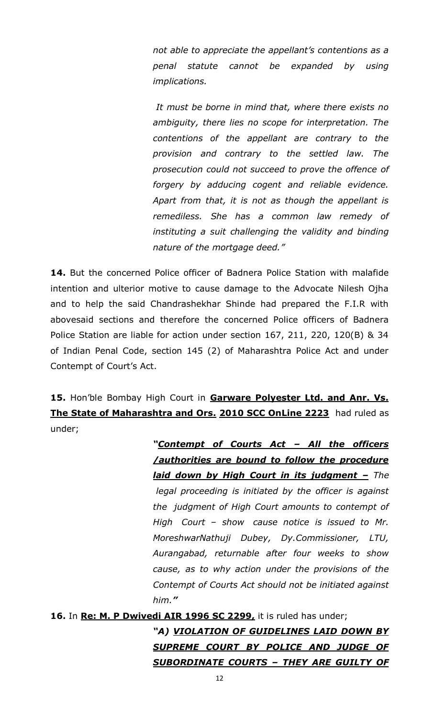*not able to appreciate the appellant's contentions as a penal statute cannot be expanded by using implications.*

*It must be borne in mind that, where there exists no ambiguity, there lies no scope for interpretation. The contentions of the appellant are contrary to the provision and contrary to the settled law. The prosecution could not succeed to prove the offence of forgery by adducing cogent and reliable evidence. Apart from that, it is not as though the appellant is remediless. She has a common law remedy of instituting a suit challenging the validity and binding nature of the mortgage deed."*

**14.** But the concerned Police officer of Badnera Police Station with malafide intention and ulterior motive to cause damage to the Advocate Nilesh Ojha and to help the said Chandrashekhar Shinde had prepared the F.I.R with abovesaid sections and therefore the concerned Police officers of Badnera Police Station are liable for action under section 167, 211, 220, 120(B) & 34 of Indian Penal Code, section 145 (2) of Maharashtra Police Act and under Contempt of Court's Act.

**15.** Hon'ble Bombay High Court in **Garware Polyester Ltd. and Anr. Vs. The State of Maharashtra and Ors. 2010 SCC OnLine 2223** had ruled as under;

> *"Contempt of Courts Act – All the officers /authorities are bound to follow the procedure laid down by High Court in its judgment - The legal proceeding is initiated by the officer is against the judgment of High Court amounts to contempt of High Court – show cause notice is issued to Mr. MoreshwarNathuji Dubey, Dy.Commissioner, LTU, Aurangabad, returnable after four weeks to show cause, as to why action under the provisions of the Contempt of Courts Act should not be initiated against him."*

**16.** In **Re: M. P Dwivedi AIR 1996 SC 2299,** it is ruled has under;

# *"A) VIOLATION OF GUIDELINES LAID DOWN BY SUPREME COURT BY POLICE AND JUDGE OF SUBORDINATE COURTS – THEY ARE GUILTY OF*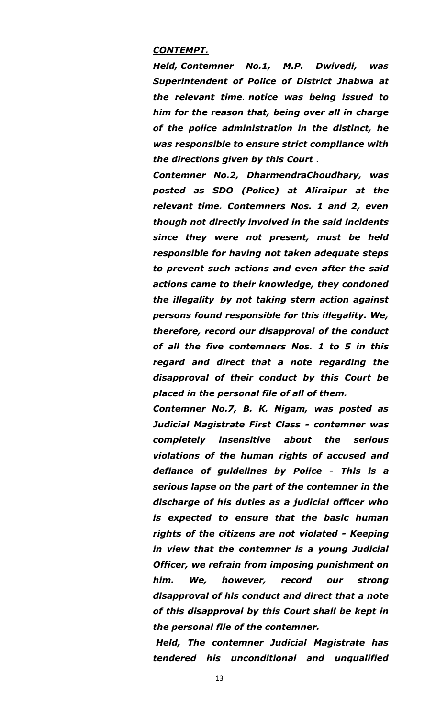#### *CONTEMPT.*

*Held, Contemner No.1, M.P. Dwivedi, was Superintendent of Police of District Jhabwa at the relevant time. notice was being issued to him for the reason that, being over all in charge of the police administration in the distinct, he was responsible to ensure strict compliance with the directions given by this Court .*

*Contemner No.2, DharmendraChoudhary, was posted as SDO (Police) at Aliraipur at the relevant time. Contemners Nos. 1 and 2, even though not directly involved in the said incidents since they were not present, must be held responsible for having not taken adequate steps to prevent such actions and even after the said actions came to their knowledge, they condoned the illegality by not taking stern action against persons found responsible for this illegality. We, therefore, record our disapproval of the conduct of all the five contemners Nos. 1 to 5 in this regard and direct that a note regarding the disapproval of their conduct by this Court be placed in the personal file of all of them.*

*Contemner No.7, B. K. Nigam, was posted as Judicial Magistrate First Class - contemner was completely insensitive about the serious violations of the human rights of accused and defiance of guidelines by Police - This is a serious lapse on the part of the contemner in the discharge of his duties as a judicial officer who is expected to ensure that the basic human rights of the citizens are not violated - Keeping in view that the contemner is a young Judicial Officer, we refrain from imposing punishment on him. We, however, record our strong disapproval of his conduct and direct that a note of this disapproval by this Court shall be kept in the personal file of the contemner.*

*Held, The contemner Judicial Magistrate has tendered his unconditional and unqualified*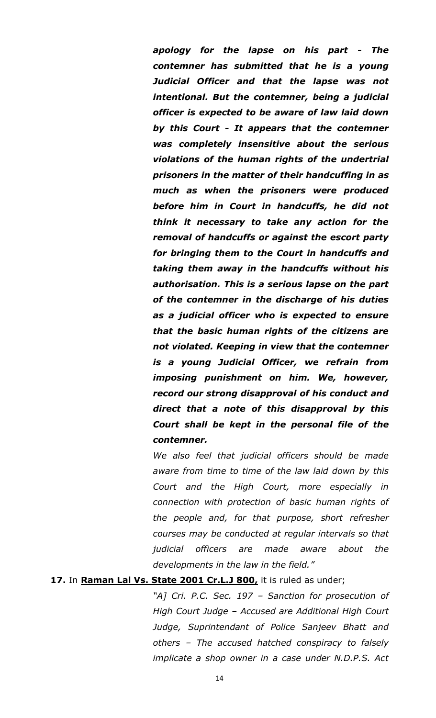*apology for the lapse on his part - The contemner has submitted that he is a young Judicial Officer and that the lapse was not intentional. But the contemner, being a judicial officer is expected to be aware of law laid down by this Court - It appears that the contemner was completely insensitive about the serious violations of the human rights of the undertrial prisoners in the matter of their handcuffing in as much as when the prisoners were produced before him in Court in handcuffs, he did not think it necessary to take any action for the removal of handcuffs or against the escort party for bringing them to the Court in handcuffs and taking them away in the handcuffs without his authorisation. This is a serious lapse on the part of the contemner in the discharge of his duties as a judicial officer who is expected to ensure that the basic human rights of the citizens are not violated. Keeping in view that the contemner is a young Judicial Officer, we refrain from imposing punishment on him. We, however, record our strong disapproval of his conduct and direct that a note of this disapproval by this Court shall be kept in the personal file of the contemner.*

*We also feel that judicial officers should be made aware from time to time of the law laid down by this Court and the High Court, more especially in connection with protection of basic human rights of the people and, for that purpose, short refresher courses may be conducted at regular intervals so that judicial officers are made aware about the developments in the law in the field."*

#### **17.** In **Raman Lal Vs. State 2001 Cr.L.J 800,** it is ruled as under;

*"A] Cri. P.C. Sec. 197 – Sanction for prosecution of High Court Judge – Accused are Additional High Court Judge, Suprintendant of Police Sanjeev Bhatt and others – The accused hatched conspiracy to falsely implicate a shop owner in a case under N.D.P.S. Act*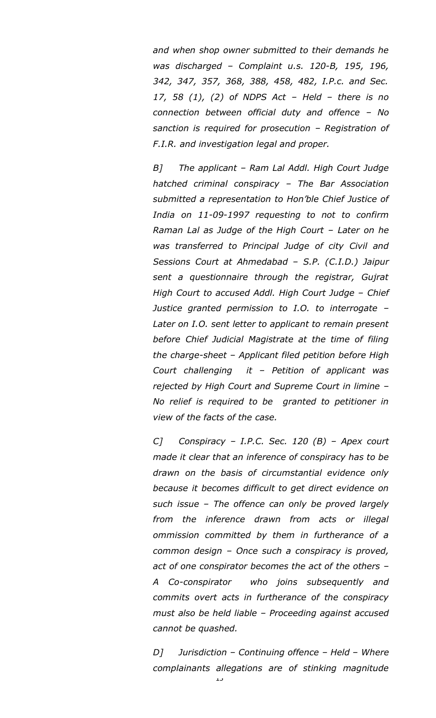*and when shop owner submitted to their demands he was discharged – Complaint u.s. 120-B, 195, 196, 342, 347, 357, 368, 388, 458, 482, I.P.c. and Sec. 17, 58 (1), (2) of NDPS Act – Held – there is no connection between official duty and offence – No sanction is required for prosecution – Registration of F.I.R. and investigation legal and proper.* 

*B] The applicant – Ram Lal Addl. High Court Judge hatched criminal conspiracy – The Bar Association submitted a representation to Hon'ble Chief Justice of India on 11-09-1997 requesting to not to confirm Raman Lal as Judge of the High Court – Later on he was transferred to Principal Judge of city Civil and Sessions Court at Ahmedabad – S.P. (C.I.D.) Jaipur sent a questionnaire through the registrar, Gujrat High Court to accused Addl. High Court Judge – Chief Justice granted permission to I.O. to interrogate – Later on I.O. sent letter to applicant to remain present before Chief Judicial Magistrate at the time of filing the charge-sheet – Applicant filed petition before High Court challenging it – Petition of applicant was rejected by High Court and Supreme Court in limine – No relief is required to be granted to petitioner in view of the facts of the case.*

*C] Conspiracy – I.P.C. Sec. 120 (B) – Apex court made it clear that an inference of conspiracy has to be drawn on the basis of circumstantial evidence only because it becomes difficult to get direct evidence on such issue – The offence can only be proved largely from the inference drawn from acts or illegal ommission committed by them in furtherance of a common design – Once such a conspiracy is proved, act of one conspirator becomes the act of the others – A Co-conspirator who joins subsequently and commits overt acts in furtherance of the conspiracy must also be held liable – Proceeding against accused cannot be quashed.* 

*D] Jurisdiction – Continuing offence – Held – Where complainants allegations are of stinking magnitude*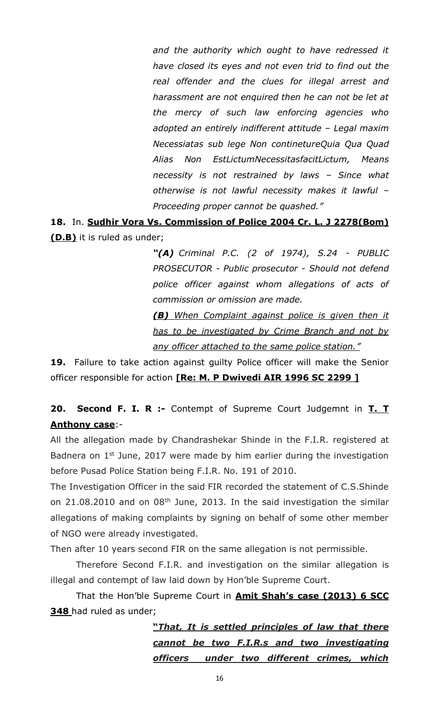*and the authority which ought to have redressed it have closed its eyes and not even trid to find out the real offender and the clues for illegal arrest and harassment are not enquired then he can not be let at the mercy of such law enforcing agencies who adopted an entirely indifferent attitude – Legal maxim Necessiatas sub lege Non continetureQuia Qua Quad Alias Non EstLictumNecessitasfacitLictum, Means necessity is not restrained by laws – Since what otherwise is not lawful necessity makes it lawful – Proceeding proper cannot be quashed."* 

# **18.** In. **Sudhir Vora Vs. Commission of Police 2004 Cr. L. J 2278(Bom) (D.B)** it is ruled as under;

*"(A) Criminal P.C. (2 of 1974), S.24 - PUBLIC PROSECUTOR - Public prosecutor - Should not defend police officer against whom allegations of acts of commission or omission are made.*

*(B) When Complaint against police is given then it has to be investigated by Crime Branch and not by any officer attached to the same police station."*

**19.** Failure to take action against guilty Police officer will make the Senior officer responsible for action **[Re: M. P Dwivedi AIR 1996 SC 2299 ]**

# **20. Second F. I. R :-** Contempt of Supreme Court Judgemnt in **T. T Anthony case**:-

All the allegation made by Chandrashekar Shinde in the F.I.R. registered at Badnera on  $1<sup>st</sup>$  June, 2017 were made by him earlier during the investigation before Pusad Police Station being F.I.R. No. 191 of 2010.

The Investigation Officer in the said FIR recorded the statement of C.S.Shinde on  $21.08.2010$  and on  $08<sup>th</sup>$  June, 2013. In the said investigation the similar allegations of making complaints by signing on behalf of some other member of NGO were already investigated.

Then after 10 years second FIR on the same allegation is not permissible.

Therefore Second F.I.R. and investigation on the similar allegation is illegal and contempt of law laid down by Hon'ble Supreme Court.

That the Hon'ble Supreme Court in **Amit Shah's case (2013) 6 SCC 348** had ruled as under;

> **"***That, It is settled principles of law that there cannot be two F.I.R.s and two investigating officers under two different crimes, which*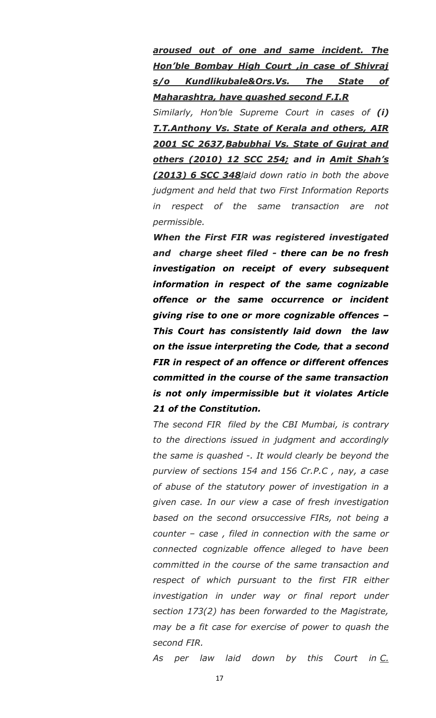*aroused out of one and same incident. The Hon'ble Bombay High Court ,in case of Shivraj s/o Kundlikubale&Ors.Vs. The State of Maharashtra, have quashed second F.I.R*

*Similarly, Hon'ble Supreme Court in cases of (i) T.T.Anthony Vs. State of Kerala and others, AIR 2001 SC 2637,Babubhai Vs. State of Gujrat and others (2010) 12 SCC 254; and in Amit Shah's (2013) 6 SCC 348laid down ratio in both the above judgment and held that two First Information Reports in respect of the same transaction are not permissible.* 

*When the First FIR was registered investigated and charge sheet filed - there can be no fresh investigation on receipt of every subsequent information in respect of the same cognizable offence or the same occurrence or incident giving rise to one or more cognizable offences – This Court has consistently laid down the law on the issue interpreting the Code, that a second FIR in respect of an offence or different offences committed in the course of the same transaction is not only impermissible but it violates Article 21 of the Constitution.* 

*The second FIR filed by the CBI Mumbai, is contrary to the directions issued in judgment and accordingly the same is quashed -. It would clearly be beyond the purview of sections 154 and 156 Cr.P.C , nay, a case of abuse of the statutory power of investigation in a given case. In our view a case of fresh investigation based on the second orsuccessive FIRs, not being a counter – case , filed in connection with the same or connected cognizable offence alleged to have been committed in the course of the same transaction and respect of which pursuant to the first FIR either investigation in under way or final report under section 173(2) has been forwarded to the Magistrate, may be a fit case for exercise of power to quash the second FIR.*

*As per law laid down by this Court in C.*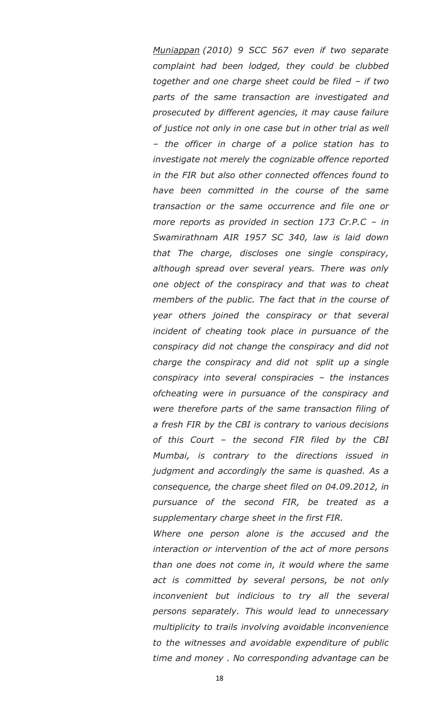*Muniappan (2010) 9 SCC 567 even if two separate complaint had been lodged, they could be clubbed together and one charge sheet could be filed – if two parts of the same transaction are investigated and prosecuted by different agencies, it may cause failure of justice not only in one case but in other trial as well – the officer in charge of a police station has to investigate not merely the cognizable offence reported in the FIR but also other connected offences found to have been committed in the course of the same transaction or the same occurrence and file one or more reports as provided in section 173 Cr.P.C – in Swamirathnam AIR 1957 SC 340, law is laid down that The charge, discloses one single conspiracy, although spread over several years. There was only one object of the conspiracy and that was to cheat members of the public. The fact that in the course of year others joined the conspiracy or that several incident of cheating took place in pursuance of the conspiracy did not change the conspiracy and did not charge the conspiracy and did not split up a single conspiracy into several conspiracies – the instances ofcheating were in pursuance of the conspiracy and were therefore parts of the same transaction filing of a fresh FIR by the CBI is contrary to various decisions of this Court – the second FIR filed by the CBI Mumbai, is contrary to the directions issued in judgment and accordingly the same is quashed. As a consequence, the charge sheet filed on 04.09.2012, in pursuance of the second FIR, be treated as a supplementary charge sheet in the first FIR.*

*Where one person alone is the accused and the interaction or intervention of the act of more persons than one does not come in, it would where the same act is committed by several persons, be not only inconvenient but indicious to try all the several persons separately. This would lead to unnecessary multiplicity to trails involving avoidable inconvenience to the witnesses and avoidable expenditure of public time and money . No corresponding advantage can be*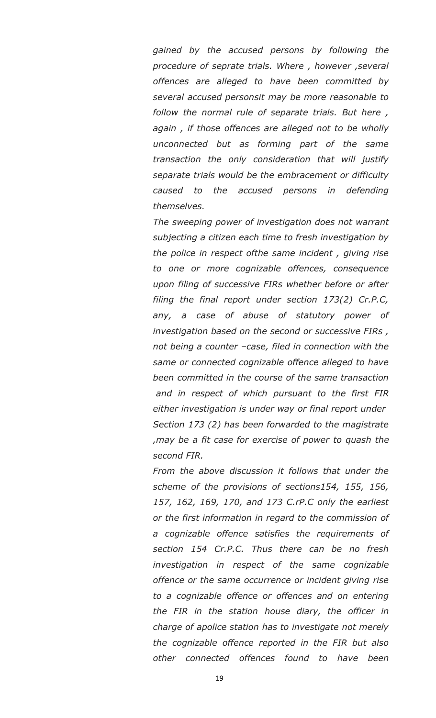*gained by the accused persons by following the procedure of seprate trials. Where , however ,several offences are alleged to have been committed by several accused personsit may be more reasonable to follow the normal rule of separate trials. But here , again , if those offences are alleged not to be wholly unconnected but as forming part of the same transaction the only consideration that will justify separate trials would be the embracement or difficulty caused to the accused persons in defending themselves.*

*The sweeping power of investigation does not warrant subjecting a citizen each time to fresh investigation by the police in respect ofthe same incident , giving rise to one or more cognizable offences, consequence upon filing of successive FIRs whether before or after filing the final report under section 173(2) Cr.P.C, any, a case of abuse of statutory power of investigation based on the second or successive FIRs , not being a counter –case, filed in connection with the same or connected cognizable offence alleged to have been committed in the course of the same transaction and in respect of which pursuant to the first FIR either investigation is under way or final report under Section 173 (2) has been forwarded to the magistrate ,may be a fit case for exercise of power to quash the second FIR.*

*From the above discussion it follows that under the scheme of the provisions of sections154, 155, 156, 157, 162, 169, 170, and 173 C.rP.C only the earliest or the first information in regard to the commission of a cognizable offence satisfies the requirements of section 154 Cr.P.C. Thus there can be no fresh investigation in respect of the same cognizable offence or the same occurrence or incident giving rise to a cognizable offence or offences and on entering the FIR in the station house diary, the officer in charge of apolice station has to investigate not merely the cognizable offence reported in the FIR but also other connected offences found to have been*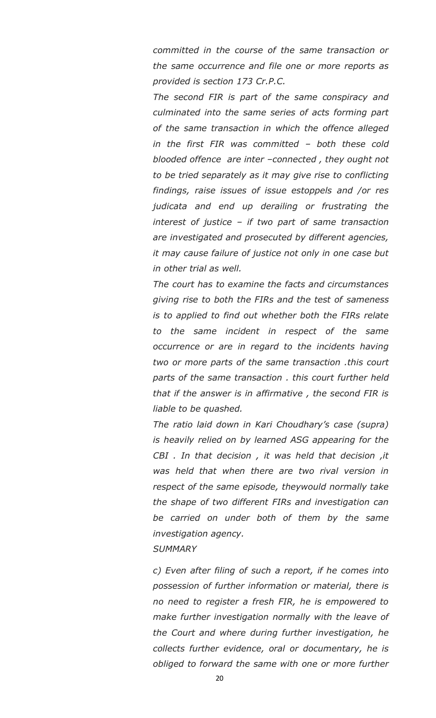*committed in the course of the same transaction or the same occurrence and file one or more reports as provided is section 173 Cr.P.C.*

*The second FIR is part of the same conspiracy and culminated into the same series of acts forming part of the same transaction in which the offence alleged in the first FIR was committed – both these cold blooded offence are inter –connected , they ought not to be tried separately as it may give rise to conflicting findings, raise issues of issue estoppels and /or res judicata and end up derailing or frustrating the interest of justice – if two part of same transaction are investigated and prosecuted by different agencies, it may cause failure of justice not only in one case but in other trial as well.*

*The court has to examine the facts and circumstances giving rise to both the FIRs and the test of sameness is to applied to find out whether both the FIRs relate to the same incident in respect of the same occurrence or are in regard to the incidents having two or more parts of the same transaction .this court parts of the same transaction . this court further held that if the answer is in affirmative , the second FIR is liable to be quashed.*

*The ratio laid down in Kari Choudhary's case (supra) is heavily relied on by learned ASG appearing for the CBI . In that decision , it was held that decision ,it was held that when there are two rival version in respect of the same episode, theywould normally take the shape of two different FIRs and investigation can be carried on under both of them by the same investigation agency.*

*SUMMARY*

*c) Even after filing of such a report, if he comes into possession of further information or material, there is no need to register a fresh FIR, he is empowered to make further investigation normally with the leave of the Court and where during further investigation, he collects further evidence, oral or documentary, he is obliged to forward the same with one or more further*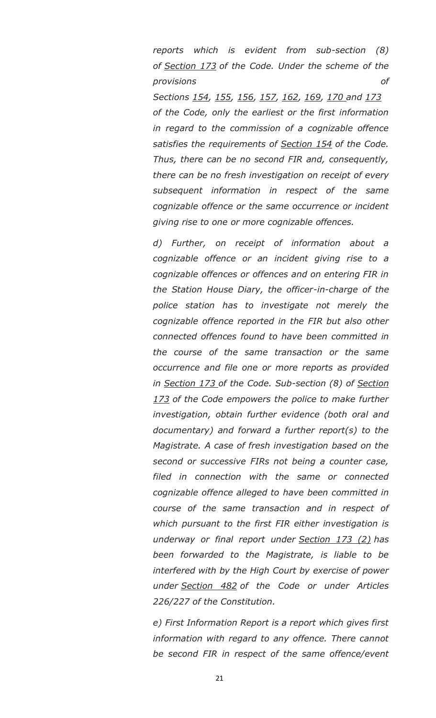*reports which is evident from sub-section (8) of Section 173 of the Code. Under the scheme of the provisions of* 

*Sections 154, 155, 156, 157, 162, 169, 170 and 173 of the Code, only the earliest or the first information in regard to the commission of a cognizable offence satisfies the requirements of Section 154 of the Code. Thus, there can be no second FIR and, consequently, there can be no fresh investigation on receipt of every subsequent information in respect of the same cognizable offence or the same occurrence or incident giving rise to one or more cognizable offences.*

*d) Further, on receipt of information about a cognizable offence or an incident giving rise to a cognizable offences or offences and on entering FIR in the Station House Diary, the officer-in-charge of the police station has to investigate not merely the cognizable offence reported in the FIR but also other connected offences found to have been committed in the course of the same transaction or the same occurrence and file one or more reports as provided in Section 173 of the Code. Sub-section (8) of Section 173 of the Code empowers the police to make further investigation, obtain further evidence (both oral and documentary) and forward a further report(s) to the Magistrate. A case of fresh investigation based on the second or successive FIRs not being a counter case, filed in connection with the same or connected cognizable offence alleged to have been committed in course of the same transaction and in respect of which pursuant to the first FIR either investigation is underway or final report under Section 173 (2) has been forwarded to the Magistrate, is liable to be interfered with by the High Court by exercise of power under Section 482 of the Code or under Articles 226/227 of the Constitution.*

*e) First Information Report is a report which gives first information with regard to any offence. There cannot be second FIR in respect of the same offence/event*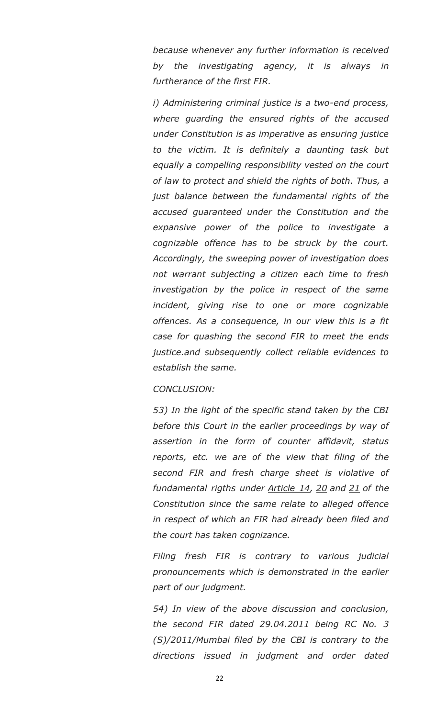*because whenever any further information is received by the investigating agency, it is always in furtherance of the first FIR.*

*i) Administering criminal justice is a two-end process, where guarding the ensured rights of the accused under Constitution is as imperative as ensuring justice to the victim. It is definitely a daunting task but equally a compelling responsibility vested on the court of law to protect and shield the rights of both. Thus, a just balance between the fundamental rights of the accused guaranteed under the Constitution and the expansive power of the police to investigate a cognizable offence has to be struck by the court. Accordingly, the sweeping power of investigation does not warrant subjecting a citizen each time to fresh investigation by the police in respect of the same incident, giving rise to one or more cognizable offences. As a consequence, in our view this is a fit case for quashing the second FIR to meet the ends justice.and subsequently collect reliable evidences to establish the same.*

#### *CONCLUSION:*

*53) In the light of the specific stand taken by the CBI before this Court in the earlier proceedings by way of assertion in the form of counter affidavit, status reports, etc. we are of the view that filing of the second FIR and fresh charge sheet is violative of fundamental rigths under Article 14, 20 and 21 of the Constitution since the same relate to alleged offence in respect of which an FIR had already been filed and the court has taken cognizance.*

*Filing fresh FIR is contrary to various judicial pronouncements which is demonstrated in the earlier part of our judgment.*

*54) In view of the above discussion and conclusion, the second FIR dated 29.04.2011 being RC No. 3 (S)/2011/Mumbai filed by the CBI is contrary to the directions issued in judgment and order dated*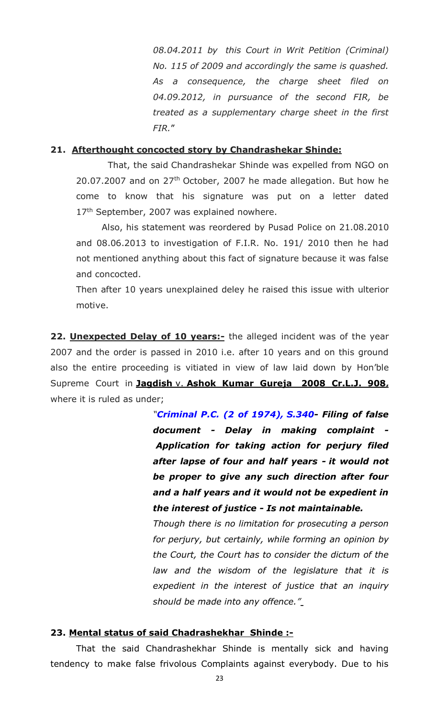*08.04.2011 by this Court in Writ Petition (Criminal) No. 115 of 2009 and accordingly the same is quashed. As a consequence, the charge sheet filed on 04.09.2012, in pursuance of the second FIR, be treated as a supplementary charge sheet in the first FIR.*"

### **21. Afterthought concocted story by Chandrashekar Shinde:**

 That, the said Chandrashekar Shinde was expelled from NGO on 20.07.2007 and on 27<sup>th</sup> October, 2007 he made allegation. But how he come to know that his signature was put on a letter dated 17<sup>th</sup> September, 2007 was explained nowhere.

Also, his statement was reordered by Pusad Police on 21.08.2010 and 08.06.2013 to investigation of F.I.R. No. 191/ 2010 then he had not mentioned anything about this fact of signature because it was false and concocted.

Then after 10 years unexplained deley he raised this issue with ulterior motive.

22. **Unexpected Delay of 10 years:-** the alleged incident was of the year 2007 and the order is passed in 2010 i.e. after 10 years and on this ground also the entire proceeding is vitiated in view of law laid down by Hon'ble Supreme Court in **Jagdish** v. **Ashok Kumar Gureja 2008 Cr.L.J. 908,** where it is ruled as under;

> *"Criminal P.C. (2 of 1974), S.340- Filing of false document - Delay in making complaint - Application for taking action for perjury filed after lapse of four and half years - it would not be proper to give any such direction after four and a half years and it would not be expedient in the interest of justice - Is not maintainable.*

> *Though there is no limitation for prosecuting a person for perjury, but certainly, while forming an opinion by the Court, the Court has to consider the dictum of the law and the wisdom of the legislature that it is expedient in the interest of justice that an inquiry should be made into any offence."*

### **23. Mental status of said Chadrashekhar Shinde :-**

That the said Chandrashekhar Shinde is mentally sick and having tendency to make false frivolous Complaints against everybody. Due to his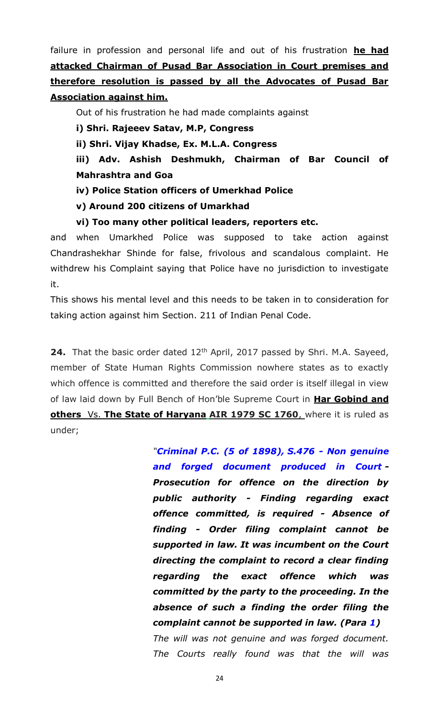failure in profession and personal life and out of his frustration **he had attacked Chairman of Pusad Bar Association in Court premises and therefore resolution is passed by all the Advocates of Pusad Bar Association against him.**

Out of his frustration he had made complaints against

**i) Shri. Rajeeev Satav, M.P, Congress**

**ii) Shri. Vijay Khadse, Ex. M.L.A. Congress** 

**iii) Adv. Ashish Deshmukh, Chairman of Bar Council of Mahrashtra and Goa**

**iv) Police Station officers of Umerkhad Police** 

**v) Around 200 citizens of Umarkhad**

**vi) Too many other political leaders, reporters etc.** 

and when Umarkhed Police was supposed to take action against Chandrashekhar Shinde for false, frivolous and scandalous complaint. He withdrew his Complaint saying that Police have no jurisdiction to investigate it.

This shows his mental level and this needs to be taken in to consideration for taking action against him Section. 211 of Indian Penal Code.

24. That the basic order dated 12<sup>th</sup> April, 2017 passed by Shri. M.A. Sayeed, member of State Human Rights Commission nowhere states as to exactly which offence is committed and therefore the said order is itself illegal in view of law laid down by Full Bench of Hon'ble Supreme Court in **Har Gobind and others** Vs. **The State of Haryana AIR 1979 SC 1760**, where it is ruled as under;

> *"Criminal P.C. (5 of 1898), S.476 - Non genuine and forged document produced in Court - Prosecution for offence on the direction by public authority - Finding regarding exact offence committed, is required - Absence of finding - Order filing complaint cannot be supported in law. It was incumbent on the Court directing the complaint to record a clear finding regarding the exact offence which was committed by the party to the proceeding. In the absence of such a finding the order filing the complaint cannot be supported in law. (Para 1) The will was not genuine and was forged document. The Courts really found was that the will was*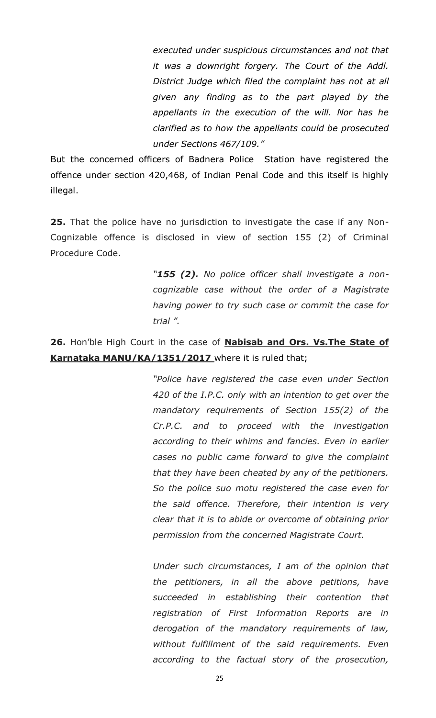*executed under suspicious circumstances and not that it was a downright forgery. The Court of the Addl. District Judge which filed the complaint has not at all given any finding as to the part played by the appellants in the execution of the will. Nor has he clarified as to how the appellants could be prosecuted under Sections 467/109."*

But the concerned officers of Badnera Police Station have registered the offence under section 420,468, of Indian Penal Code and this itself is highly illegal.

**25.** That the police have no jurisdiction to investigate the case if any Non-Cognizable offence is disclosed in view of section 155 (2) of Criminal Procedure Code.

> *"155 (2). No police officer shall investigate a noncognizable case without the order of a Magistrate having power to try such case or commit the case for trial ".*

**26.** Hon'ble High Court in the case of **Nabisab and Ors. Vs.The State of Karnataka MANU/KA/1351/2017** where it is ruled that;

> *"Police have registered the case even under Section 420 of the I.P.C. only with an intention to get over the mandatory requirements of Section 155(2) of the Cr.P.C. and to proceed with the investigation according to their whims and fancies. Even in earlier cases no public came forward to give the complaint that they have been cheated by any of the petitioners. So the police suo motu registered the case even for the said offence. Therefore, their intention is very clear that it is to abide or overcome of obtaining prior permission from the concerned Magistrate Court.*

> *Under such circumstances, I am of the opinion that the petitioners, in all the above petitions, have succeeded in establishing their contention that registration of First Information Reports are in derogation of the mandatory requirements of law, without fulfillment of the said requirements. Even according to the factual story of the prosecution,*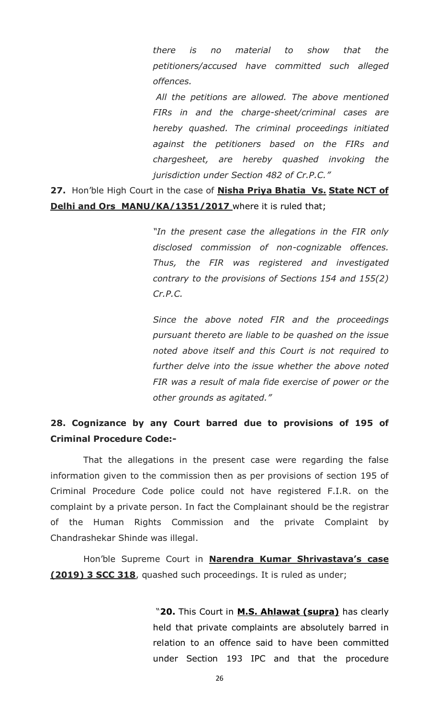*there is no material to show that the petitioners/accused have committed such alleged offences.*

*All the petitions are allowed. The above mentioned FIRs in and the charge-sheet/criminal cases are hereby quashed. The criminal proceedings initiated against the petitioners based on the FIRs and chargesheet, are hereby quashed invoking the jurisdiction under Section 482 of Cr.P.C."*

### **27.** Hon'ble High Court in the case of **Nisha Priya Bhatia Vs. State NCT of Delhi and Ors MANU/KA/1351/2017** where it is ruled that;

*"In the present case the allegations in the FIR only disclosed commission of non-cognizable offences. Thus, the FIR was registered and investigated contrary to the provisions of Sections 154 and 155(2) Cr.P.C.* 

*Since the above noted FIR and the proceedings pursuant thereto are liable to be quashed on the issue noted above itself and this Court is not required to further delve into the issue whether the above noted FIR was a result of mala fide exercise of power or the other grounds as agitated."*

### **28. Cognizance by any Court barred due to provisions of 195 of Criminal Procedure Code:-**

 That the allegations in the present case were regarding the false information given to the commission then as per provisions of section 195 of Criminal Procedure Code police could not have registered F.I.R. on the complaint by a private person. In fact the Complainant should be the registrar of the Human Rights Commission and the private Complaint by Chandrashekar Shinde was illegal.

 Hon'ble Supreme Court in **Narendra Kumar Shrivastava's case (2019) 3 SCC 318**, quashed such proceedings. It is ruled as under;

> "**20.** This Court in **M.S. Ahlawat (supra)** has clearly held that private complaints are absolutely barred in relation to an offence said to have been committed under Section 193 IPC and that the procedure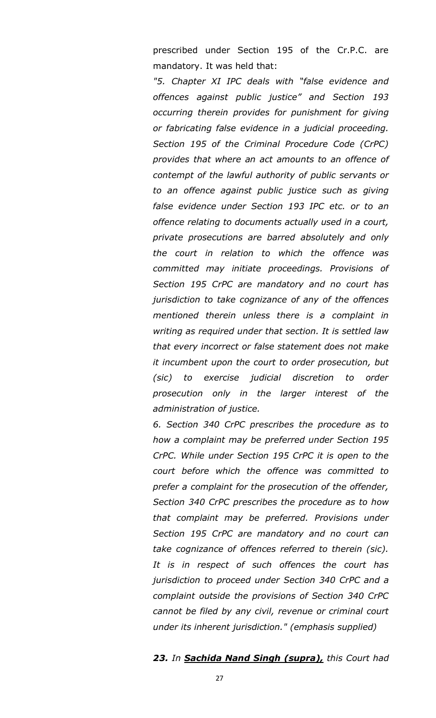prescribed under Section 195 of the Cr.P.C. are mandatory. It was held that:

*"5. Chapter XI IPC deals with "false evidence and offences against public justice" and Section 193 occurring therein provides for punishment for giving or fabricating false evidence in a judicial proceeding. Section 195 of the Criminal Procedure Code (CrPC) provides that where an act amounts to an offence of contempt of the lawful authority of public servants or to an offence against public justice such as giving false evidence under Section 193 IPC etc. or to an offence relating to documents actually used in a court, private prosecutions are barred absolutely and only the court in relation to which the offence was committed may initiate proceedings. Provisions of Section 195 CrPC are mandatory and no court has jurisdiction to take cognizance of any of the offences mentioned therein unless there is a complaint in writing as required under that section. It is settled law that every incorrect or false statement does not make it incumbent upon the court to order prosecution, but (sic) to exercise judicial discretion to order prosecution only in the larger interest of the administration of justice.*

*6. Section 340 CrPC prescribes the procedure as to how a complaint may be preferred under Section 195 CrPC. While under Section 195 CrPC it is open to the court before which the offence was committed to prefer a complaint for the prosecution of the offender, Section 340 CrPC prescribes the procedure as to how that complaint may be preferred. Provisions under Section 195 CrPC are mandatory and no court can take cognizance of offences referred to therein (sic). It is in respect of such offences the court has jurisdiction to proceed under Section 340 CrPC and a complaint outside the provisions of Section 340 CrPC cannot be filed by any civil, revenue or criminal court under its inherent jurisdiction." (emphasis supplied)*

*23. In Sachida Nand Singh (supra), this Court had*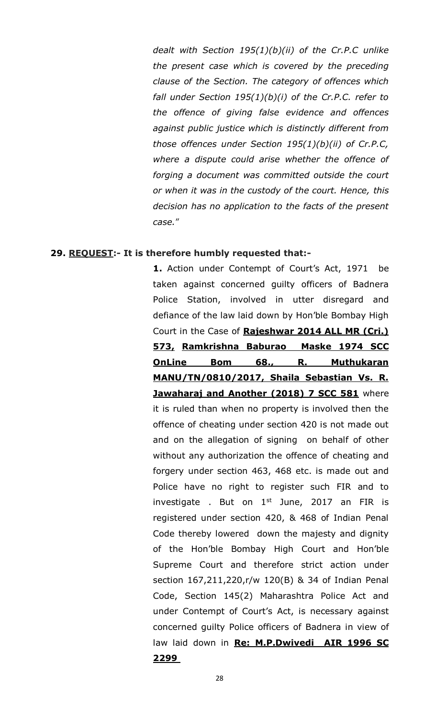*dealt with Section 195(1)(b)(ii) of the Cr.P.C unlike the present case which is covered by the preceding clause of the Section. The category of offences which fall under Section 195(1)(b)(i) of the Cr.P.C. refer to the offence of giving false evidence and offences against public justice which is distinctly different from those offences under Section 195(1)(b)(ii) of Cr.P.C, where a dispute could arise whether the offence of forging a document was committed outside the court or when it was in the custody of the court. Hence, this decision has no application to the facts of the present case.*"

#### **29. REQUEST:- It is therefore humbly requested that:-**

**1.** Action under Contempt of Court's Act, 1971 be taken against concerned guilty officers of Badnera Police Station, involved in utter disregard and defiance of the law laid down by Hon'ble Bombay High Court in the Case of **Rajeshwar 2014 ALL MR (Cri.) 573, Ramkrishna Baburao Maske 1974 SCC OnLine Bom 68., R. Muthukaran MANU/TN/0810/2017, Shaila Sebastian Vs. R. Jawaharaj and Another (2018) 7 SCC 581** where it is ruled than when no property is involved then the offence of cheating under section 420 is not made out and on the allegation of signing on behalf of other without any authorization the offence of cheating and forgery under section 463, 468 etc. is made out and Police have no right to register such FIR and to investigate . But on  $1^{st}$  June, 2017 an FIR is registered under section 420, & 468 of Indian Penal Code thereby lowered down the majesty and dignity of the Hon'ble Bombay High Court and Hon'ble Supreme Court and therefore strict action under section 167,211,220,r/w 120(B) & 34 of Indian Penal Code, Section 145(2) Maharashtra Police Act and under Contempt of Court's Act, is necessary against concerned guilty Police officers of Badnera in view of law laid down in **Re: M.P.Dwivedi AIR 1996 SC 2299**